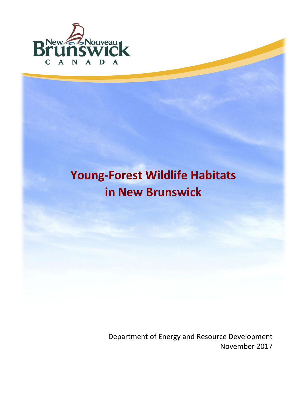

# **[Young-](#page-1-0)Forest Wildlife Habitats in New Brunswick**

Department of Energy and Resource Development November 2017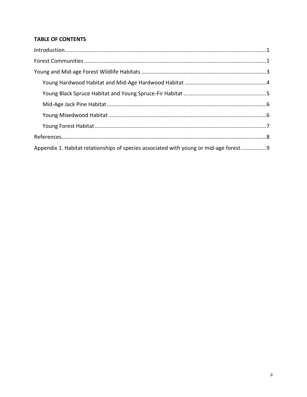# <span id="page-1-0"></span>**TABLE OF CONTENTS**

| $\label{eq:interoduction} \text{Introduction}\\$                                      |
|---------------------------------------------------------------------------------------|
|                                                                                       |
|                                                                                       |
|                                                                                       |
|                                                                                       |
|                                                                                       |
|                                                                                       |
|                                                                                       |
|                                                                                       |
| Appendix 1. Habitat relationships of species associated with young or mid-age forest9 |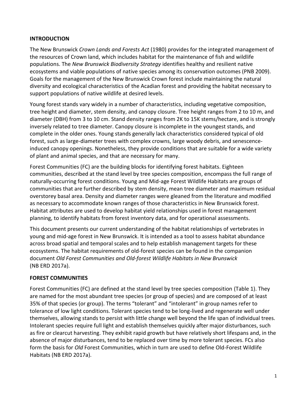## <span id="page-2-0"></span>**[INTRODUCTION](#page-1-0)**

The New Brunswick *Crown Lands and Forests Act* (1980) provides for the integrated management of the resources of Crown land, which includes habitat for the maintenance of fish and wildlife populations. The *New Brunswick Biodiversity Strategy* identifies healthy and resilient native ecosystems and viable populations of native species among its conservation outcomes (PNB 2009). Goals for the management of the New Brunswick Crown forest include maintaining the natural diversity and ecological characteristics of the Acadian forest and providing the habitat necessary to support populations of native wildlife at desired levels.

Young forest stands vary widely in a number of characteristics, including vegetative composition, tree height and diameter, stem density, and canopy closure. Tree height ranges from 2 to 10 m, and diameter (DBH) from 3 to 10 cm. Stand density ranges from 2K to 15K stems/hectare, and is strongly inversely related to tree diameter. Canopy closure is incomplete in the youngest stands, and complete in the older ones. Young stands generally lack characteristics considered typical of old forest, such as large-diameter trees with complex crowns, large woody debris, and senescenceinduced canopy openings. Nonetheless, they provide conditions that are suitable for a wide variety of plant and animal species, and that are necessary for many.

Forest Communities (FC) are the building blocks for identifying forest habitats. Eighteen communities, described at the stand level by tree species composition, encompass the full range of naturally-occurring forest conditions. Young and Mid-age Forest Wildlife Habitats are groups of communities that are further described by stem density, mean tree diameter and maximum residual overstorey basal area. Density and diameter ranges were gleaned from the literature and modified as necessary to accommodate known ranges of those characteristics in New Brunswick forest. Habitat attributes are used to develop habitat yield relationships used in forest management planning, to identify habitats from forest inventory data, and for operational assessments.

This document presents our current understanding of the habitat relationships of vertebrates in young and mid-age forest in New Brunswick. It is intended as a tool to assess habitat abundance across broad spatial and temporal scales and to help establish management targets for these ecosystems. The habitat requirements of old-forest species can be found in the companion document *Old Forest Communities and Old-forest Wildlife Habitats in New Brunswick* (NB ERD 2017a).

# <span id="page-2-1"></span>**[FOREST COMMUNITIES](#page-1-0)**

Forest Communities (FC) are defined at the stand level by tree species composition [\(Table 1\)](#page-3-0). They are named for the most abundant tree species (or group of species) and are composed of at least 35% of that species (or group). The terms "tolerant" and "intolerant" in group names refer to tolerance of low light conditions. Tolerant species tend to be long-lived and regenerate well under themselves, allowing stands to persist with little change well beyond the life span of individual trees. Intolerant species require full light and establish themselves quickly after major disturbances, such as fire or clearcut harvesting. They exhibit rapid growth but have relatively short lifespans and, in the absence of major disturbances, tend to be replaced over time by more tolerant species. FCs also form the basis for *Old* Forest Communities, which in turn are used to define Old-Forest Wildlife Habitats (NB ERD 2017a).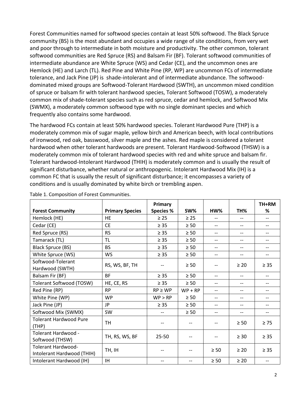Forest Communities named for softwood species contain at least 50% softwood. The Black Spruce community (BS) is the most abundant and occupies a wide range of site conditions, from very wet and poor through to intermediate in both moisture and productivity. The other common, tolerant softwood communities are Red Spruce (RS) and Balsam Fir (BF). Tolerant softwood communities of intermediate abundance are White Spruce (WS) and Cedar (CE), and the uncommon ones are Hemlock (HE) and Larch (TL). Red Pine and White Pine (RP, WP) are uncommon FCs of intermediate tolerance, and Jack Pine (JP) is shade-intolerant and of intermediate abundance. The softwooddominated mixed groups are Softwood-Tolerant Hardwood (SWTH), an uncommon mixed condition of spruce or balsam fir with tolerant hardwood species, Tolerant Softwood (TOSW), a moderately common mix of shade-tolerant species such as red spruce, cedar and hemlock, and Softwood Mix (SWMX), a moderately common softwood type with no single dominant species and which frequently also contains some hardwood.

The hardwood FCs contain at least 50% hardwood species. Tolerant Hardwood Pure (THP) is a moderately common mix of sugar maple, yellow birch and American beech, with local contributions of ironwood, red oak, basswood, silver maple and the ashes. Red maple is considered a tolerant hardwood when other tolerant hardwoods are present. Tolerant Hardwood-Softwood (THSW) is a moderately common mix of tolerant hardwood species with red and white spruce and balsam fir. Tolerant hardwood-Intolerant Hardwood (THIH) is moderately common and is usually the result of significant disturbance, whether natural or anthropogenic. Intolerant Hardwood Mix (IH) is a common FC that is usually the result of significant disturbance; it encompasses a variety of conditions and is usually dominated by white birch or trembling aspen.

|                                                  |                        | Primary          |           |                   |           | TH+RM                    |
|--------------------------------------------------|------------------------|------------------|-----------|-------------------|-----------|--------------------------|
| <b>Forest Community</b>                          | <b>Primary Species</b> | <b>Species %</b> | SW%       | HW%               | TH%       | ℅                        |
| Hemlock (HE)                                     | <b>HE</b>              | $\geq$ 25        | $\geq 25$ | $\qquad \qquad -$ | --        | $-$                      |
| Cedar (CE)                                       | <b>CE</b>              | $\geq 35$        | $\geq 50$ | $-$               | $-$       | $-$                      |
| Red Spruce (RS)                                  | <b>RS</b>              | $\geq 35$        | $\geq 50$ | $-$               | --        |                          |
| Tamarack (TL)                                    | TL                     | $\geq 35$        | $\geq 50$ | $-\!$ $\!-$       | --        |                          |
| <b>Black Spruce (BS)</b>                         | <b>BS</b>              | $\geq 35$        | $\geq 50$ | $-$               | $-$       |                          |
| White Spruce (WS)                                | <b>WS</b>              | $\geq 35$        | $\geq 50$ | $-$               | $-$       | $-$                      |
| Softwood-Tolerant<br>Hardwood (SWTH)             | RS, WS, BF, TH         |                  | $\geq 50$ |                   | $\geq 20$ | $\geq 35$                |
| Balsam Fir (BF)                                  | <b>BF</b>              | $\geq 35$        | $\geq 50$ | $- -$             | $- -$     | $\overline{\phantom{a}}$ |
| Tolerant Softwood (TOSW)                         | HE, CE, RS             | $\geq 35$        | $\geq 50$ | $-$               | $-$       |                          |
| Red Pine (RP)                                    | <b>RP</b>              | $RP \ge WP$      | $WP + RP$ |                   | --        |                          |
| White Pine (WP)                                  | <b>WP</b>              | WP > RP          | $\geq 50$ | $-$               | $- -$     | $\overline{\phantom{a}}$ |
| Jack Pine (JP)                                   | JP.                    | $\geq 35$        | $\geq 50$ | $-$               | $-$       |                          |
| Softwood Mix (SWMX)                              | SW                     |                  | $\geq 50$ | $-$               | --        |                          |
| <b>Tolerant Hardwood Pure</b><br>(THP)           | <b>TH</b>              | $-$              |           |                   | $\geq 50$ | $\geq 75$                |
| Tolerant Hardwood -<br>Softwood (THSW)           | TH, RS, WS, BF         | $25 - 50$        |           |                   | $\geq 30$ | $\geq 35$                |
| Tolerant Hardwood-<br>Intolerant Hardwood (THIH) | TH, IH                 |                  |           | $\geq 50$         | $\geq 20$ | $\geq 35$                |
| Intolerant Hardwood (IH)                         | IH.                    |                  |           | $\geq 50$         | $\geq 20$ |                          |

<span id="page-3-0"></span>Table 1. Composition of Forest Communities.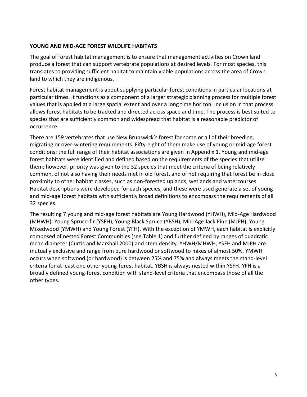## <span id="page-4-0"></span>**[YOUNG AND MID-AGE FOREST WILDLIFE HABITATS](#page-1-0)**

The goal of forest habitat management is to ensure that management activities on Crown land produce a forest that can support vertebrate populations at desired levels. For most species, this translates to providing sufficient habitat to maintain viable populations across the area of Crown land to which they are indigenous.

Forest habitat management is about supplying particular forest conditions in particular locations at particular times. It functions as a component of a larger strategic planning process for multiple forest values that is applied at a large spatial extent and over a long time horizon. Inclusion in that process allows forest habitats to be tracked and directed across space and time. The process is best suited to species that are sufficiently common and widespread that habitat is a reasonable predictor of occurrence.

There are 159 vertebrates that use New Brunswick's forest for some or all of their breeding, migrating or over-wintering requirements. Fifty-eight of them make use of young or mid-age forest conditions; the full range of their habitat associations are given in [Appendix](#page-10-0) 1. Young and mid-age forest habitats were identified and defined based on the requirements of the species that utilize them; however, priority was given to the 32 species that meet the criteria of being relatively common, of not also having their needs met in old forest, and of not requiring that forest be in close proximity to other habitat classes, such as non-forested uplands, wetlands and watercourses. Habitat descriptions were developed for each species, and these were used generate a set of young and mid-age forest habitats with sufficiently broad definitions to encompass the requirements of all 32 species.

The resulting 7 young and mid-age forest habitats are Young Hardwood (YHWH), Mid-Age Hardwood (MHWH), Young Spruce-fir (YSFH), Young Black Spruce (YBSH), Mid-Age Jack Pine (MJPH), Young Mixedwood (YMWH) and Young Forest (YFH). With the exception of YMWH, each habitat is explicitly composed of nested Forest Communities (see [Table 1\)](#page-3-0) and further defined by ranges of quadratic mean diameter (Curtis and Marshall 2000) and stem density. YHWH/MHWH, YSFH and MJPH are mutually exclusive and range from pure hardwood or softwood to mixes of almost 50%. YMWH occurs when softwood (or hardwood) is between 25% and 75% and always meets the stand-level criteria for at least one other young-forest habitat. YBSH is always nested within YSFH. YFH is a broadly defined young-forest condition with stand-level criteria that encompass those of all the other types.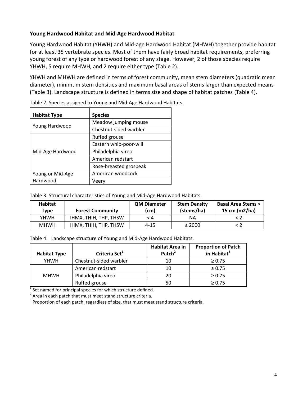## <span id="page-5-0"></span>**Young Hardwood Habitat and Mid-Age Hardwood Habitat**

Young Hardwood Habitat (YHWH) and Mid-age Hardwood Habitat (MHWH) together provide habitat for at least 35 vertebrate species. Most of them have fairly broad habitat requirements, preferring young forest of any type or hardwood forest of any stage. However, 2 of those species require YHWH, 5 require MHWH, and 2 require either type [\(Table 2\)](#page-5-1).

YHWH and MHWH are defined in terms of forest community, mean stem diameters (quadratic mean diameter), minimum stem densities and maximum basal areas of stems larger than expected means [\(Table 3\)](#page-5-2). Landscape structure is defined in terms size and shape of habitat patches [\(Table 4\)](#page-5-3).

| <b>Habitat Type</b> | <b>Species</b>         |
|---------------------|------------------------|
|                     | Meadow jumping mouse   |
| Young Hardwood      | Chestnut-sided warbler |
|                     | Ruffed grouse          |
| Mid-Age Hardwood    | Eastern whip-poor-will |
|                     | Philadelphia vireo     |
|                     | American redstart      |
|                     | Rose-breasted grosbeak |
| Young or Mid-Age    | American woodcock      |
| Hardwood            | Veerv                  |

<span id="page-5-1"></span>Table 2. Species assigned to Young and Mid-Age Hardwood Habitats.

<span id="page-5-2"></span>Table 3. Structural characteristics of Young and Mid-Age Hardwood Habitats.

| Habitat<br>Type | <b>Forest Community</b> | <b>QM Diameter</b><br>(cm) | <b>Stem Density</b><br>(stems/ha) | <b>Basal Area Stems &gt;</b><br>15 cm (m2/ha) |
|-----------------|-------------------------|----------------------------|-----------------------------------|-----------------------------------------------|
| YHWH            | IHMX. THIH. THP. THSW   | - 4                        | ΝA                                |                                               |
| <b>MHWH</b>     | IHMX, THIH, THP, THSW   | $4 - 15$                   | $\geq 2000$                       |                                               |

<span id="page-5-3"></span>Table 4. Landscape structure of Young and Mid-Age Hardwood Habitats.

| <b>Habitat Type</b> | Criteria Set <sup>1</sup> | <b>Habitat Area in</b><br>Patch <sup>2</sup> | <b>Proportion of Patch</b><br>in Habitat <sup>3</sup> |
|---------------------|---------------------------|----------------------------------------------|-------------------------------------------------------|
| YHWH                | Chestnut-sided warbler    | 10                                           | $\geq 0.75$                                           |
|                     | American redstart         | 10                                           | $\ge 0.75$                                            |
| <b>MHWH</b>         | Philadelphia vireo        | 20                                           | $\geq 0.75$                                           |
|                     | Ruffed grouse             | 50                                           | $\geq 0.75$                                           |

 $1$  Set named for principal species for which structure defined.

 $2$  Area in each patch that must meet stand structure criteria.

 $3$  Proportion of each patch, regardless of size, that must meet stand structure criteria.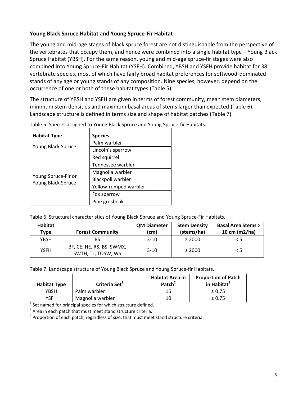## <span id="page-6-0"></span>**Young Black Spruce Habitat and Young Spruce-Fir Habitat**

The young and mid-age stages of black spruce forest are not distinguishable from the perspective of the vertebrates that occupy them, and hence were combined into a single habitat type – Young Black Spruce Habitat (YBSH). For the same reason, young and mid-age spruce-fir stages were also combined into Young Spruce-Fir Habitat (YSFH). Combined, YBSH and YSFH provide habitat for 38 vertebrate species, most of which have fairly broad habitat preferences for softwood-dominated stands of any age or young stands of any composition. Nine species, however, depend on the occurrence of one or both of these habitat types [\(Table 5\)](#page-6-1).

The structure of YBSH and YSFH are given in terms of forest community, mean stem diameters, minimum stem densities and maximum basal areas of stems larger than expected [\(Table 6\)](#page-6-2). Landscape structure is defined in terms size and shape of habitat patches [\(Table 7\)](#page-6-3).

| <b>Habitat Type</b>                       | <b>Species</b>           |
|-------------------------------------------|--------------------------|
|                                           | Palm warbler             |
| Young Black Spruce                        | Lincoln's sparrow        |
|                                           | Red squirrel             |
|                                           | Tennessee warbler        |
|                                           | Magnolia warbler         |
| Young Spruce-Fir or<br>Young Black Spruce | <b>Blackpoll warbler</b> |
|                                           | Yellow-rumped warbler    |
|                                           | Fox sparrow              |
|                                           | Pine grosbeak            |

<span id="page-6-1"></span>Table 5. Species assigned to Young Black Spruce and Young Spruce-fir Habitats.

<span id="page-6-2"></span>Table 6. Structural characteristics of Young Black Spruce and Young Spruce-Fir Habitats.

| Habitat<br><b>Type</b> | <b>Forest Community</b>                         | <b>QM Diameter</b><br>(cm) | <b>Stem Density</b><br>(stems/ha) | <b>Basal Area Stems &gt;</b><br>10 cm (m2/ha) |
|------------------------|-------------------------------------------------|----------------------------|-----------------------------------|-----------------------------------------------|
| YBSH                   | BS                                              | $3-10$                     | $\geq 2000$                       | $\leq 5$                                      |
| <b>YSFH</b>            | BF, CE, HE, RS, BS, SWMX,<br>SWTH, TL, TOSW, WS | $3-10$                     | $\geq 2000$                       | $\leq$ 5                                      |

<span id="page-6-3"></span>Table 7. Landscape structure of Young Black Spruce and Young Spruce-fir Habitats.

| <b>Habitat Type</b> | Criteria Set <sup>1</sup> | <b>Habitat Area in</b><br>Patch <sup>2</sup> | <b>Proportion of Patch</b><br>in Habitat <sup>3</sup> |
|---------------------|---------------------------|----------------------------------------------|-------------------------------------------------------|
| YBSH                | Palm warbler              | 15                                           | $\geq 0.75$                                           |
| YSFH                | Magnolia warbler          | 10                                           | $\geq 0.75$                                           |

 $1$  Set named for principal species for which structure defined.

 $2$  Area in each patch that must meet stand structure criteria.

 $3$  Proportion of each patch, regardless of size, that must meet stand structure criteria.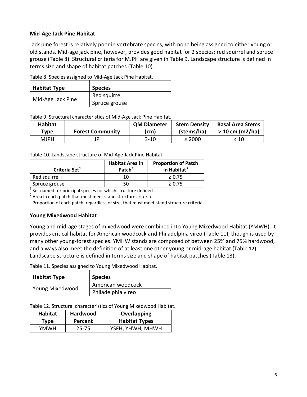## <span id="page-7-0"></span>**Mid-Age Jack Pine Habitat**

Jack pine forest is relatively poor in vertebrate species, with none being assigned to either young or old stands. Mid-age jack pine, however, provides good habitat for 2 species: red squirrel and spruce grouse [\(Table 8\)](#page-7-2). Structural criteria for MJPH are given in [Table 9.](#page-7-3) Landscape structure is defined in terms size and shape of habitat patches [\(Table 10\)](#page-7-4).

<span id="page-7-2"></span>Table 8. Species assigned to Mid-Age Jack Pine Habitat.

| <b>Habitat Type</b> | <b>Species</b> |
|---------------------|----------------|
| Mid-Age Jack Pine   | Red squirrel   |
|                     | Spruce grouse  |

<span id="page-7-3"></span>Table 9. Structural characteristics of Mid-Age Jack Pine Habitat.

| Habitat     |                         | <b>QM Diameter</b> | <b>Stem Density</b> | <b>Basal Area Stems</b> |
|-------------|-------------------------|--------------------|---------------------|-------------------------|
| Type        | <b>Forest Community</b> | (cm)               | (stems/ha)          | $> 10$ cm (m2/ha)       |
| <b>MJPH</b> | ID                      | 3-10               | $\geq 2000$         | : 10                    |

<span id="page-7-4"></span>Table 10. Landscape structure of Mid-Age Jack Pine Habitat.

| Criteria Set <sup>1</sup> | <b>Habitat Area in</b><br>Patch <sup>2</sup> | <b>Proportion of Patch</b><br>in Habitat <sup>3</sup> |
|---------------------------|----------------------------------------------|-------------------------------------------------------|
| Red squirrel              | 10                                           | $\geq 0.75$                                           |
| Spruce grouse             | 50                                           | > 0.75                                                |

 $1$  Set named for principal species for which structure defined.

 $2$  Area in each patch that must meet stand structure criteria.

<span id="page-7-1"></span> $3$  Proportion of each patch, regardless of size, that must meet stand structure criteria.

#### **Young Mixedwood Habitat**

Young and mid-age stages of mixedwood were combined into Young Mixedwood Habitat (YMWH). It provides critical habitat for American woodcock and Philadelphia vireo [\(Table 11\)](#page-7-5), though is used by many other young-forest species. YMHW stands are composed of between 25% and 75% hardwood, and always also meet the definition of at least one other young or mid-age habitat [\(Table](#page-7-6) 12). Landscape structure is defined in terms size and shape of habitat patches [\(Table 13\)](#page-8-1).

<span id="page-7-5"></span>Table 11. Species assigned to Young Mixedwood Habitat.

| Habitat Type    | <b>Species</b>     |
|-----------------|--------------------|
| Young Mixedwood | American woodcock  |
|                 | Philadelphia vireo |

<span id="page-7-6"></span>Table 12. Structural characteristics of Young Mixedwood Habitat.

| <b>Habitat</b> | Hardwood  | Overlapping          |
|----------------|-----------|----------------------|
| Type           | Percent   | <b>Habitat Types</b> |
| YMWH.          | $25 - 75$ |                      |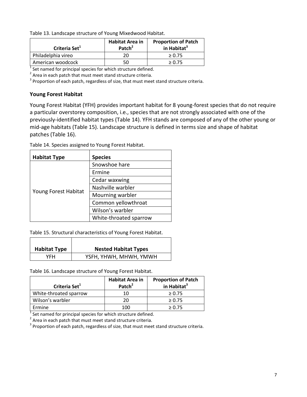<span id="page-8-1"></span>Table 13. Landscape structure of Young Mixedwood Habitat.

| Criteria Set <sup>1</sup> | <b>Habitat Area in</b><br>Patch <sup>2</sup> | <b>Proportion of Patch</b><br>in Habitat <sup>3</sup> |  |
|---------------------------|----------------------------------------------|-------------------------------------------------------|--|
| Philadelphia vireo        | 20                                           | > 0.75                                                |  |
| American woodcock         | 50                                           | > 0.75                                                |  |
|                           |                                              |                                                       |  |

 $1$  Set named for principal species for which structure defined.

 $2$  Area in each patch that must meet stand structure criteria.

<span id="page-8-0"></span> $3$  Proportion of each patch, regardless of size, that must meet stand structure criteria.

## **Young Forest Habitat**

 $\Gamma$ 

Young Forest Habitat (YFH) provides important habitat for 8 young-forest species that do not require a particular overstorey composition, i.e., species that are not strongly associated with one of the previously-identified habitat types [\(Table 14\)](#page-8-2). YFH stands are composed of any of the other young or mid-age habitats [\(Table 15\)](#page-8-3). Landscape structure is defined in terms size and shape of habitat patches [\(Table 16\)](#page-8-4).

| <b>Habitat Type</b>  | <b>Species</b>         |  |  |
|----------------------|------------------------|--|--|
|                      | Snowshoe hare          |  |  |
|                      | Ermine                 |  |  |
|                      | Cedar waxwing          |  |  |
|                      | Nashville warbler      |  |  |
| Young Forest Habitat | Mourning warbler       |  |  |
|                      | Common yellowthroat    |  |  |
|                      | Wilson's warbler       |  |  |
|                      | White-throated sparrow |  |  |

<span id="page-8-2"></span>Table 14. Species assigned to Young Forest Habitat.

<span id="page-8-3"></span>Table 15. Structural characteristics of Young Forest Habitat.

| <b>Habitat Type</b> | <b>Nested Habitat Types</b> |
|---------------------|-----------------------------|
| YFH                 | YSFH, YHWH, MHWH, YMWH      |

<span id="page-8-4"></span>Table 16. Landscape structure of Young Forest Habitat.

T

| Criteria Set <sup>1</sup> | <b>Habitat Area in</b><br>Patch <sup>2</sup> | <b>Proportion of Patch</b><br>in Habitat <sup>3</sup> |
|---------------------------|----------------------------------------------|-------------------------------------------------------|
| White-throated sparrow    | 10                                           | $\geq 0.75$                                           |
| Wilson's warbler          | 20                                           | $\geq 0.75$                                           |
| Ermine                    | 100                                          | > 0.75                                                |

 $1$  Set named for principal species for which structure defined.

 $2$  Area in each patch that must meet stand structure criteria.

 $3$  Proportion of each patch, regardless of size, that must meet stand structure criteria.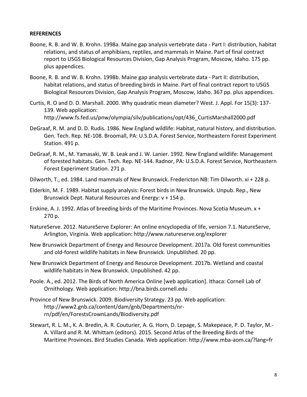#### <span id="page-9-0"></span>**REFERENCES**

- Boone, R. B. and W. B. Krohn. 1998a. Maine gap analysis vertebrate data Part I: distribution, habitat relations, and status of amphibians, reptiles, and mammals in Maine. Part of final contract report to USGS Biological Resources Division, Gap Analysis Program, Moscow, Idaho. 175 pp. plus appendices.
- Boone, R. B. and W. B. Krohn. 1998b. Maine gap analysis vertebrate data Part II: distribution, habitat relations, and status of breeding birds in Maine. Part of final contract report to USGS Biological Resources Division, Gap Analysis Program, Moscow, Idaho. 367 pp. plus appendices.
- Curtis, R. O and D. D. Marshall. 2000. Why quadratic mean diameter? West. J. Appl. For 15(3): 137- 139. Web application: [http://www.fs.fed.us/pnw/olympia/silv/publications/opt/436\\_CurtisMarshall2000.pdf](http://www.fs.fed.us/pnw/olympia/silv/publications/opt/436_CurtisMarshall2000.pdf)
- DeGraaf, R. M. and D. D. Rudis. 1986. New England wildlife: Habitat, natural history, and distribution. Gen. Tech. Rep. NE-108. Broomall, PA: U.S.D.A. Forest Service, Northeastern Forest Experiment Station. 491 p.
- DeGraaf, R. M., M. Yamasaki, W. B. Leak and J. W. Lanier. 1992. New England wildlife: Management of forested habitats. Gen. Tech. Rep. NE-144. Radnor, PA: U.S.D.A. Forest Service, Northeastern Forest Experiment Station. 271 p.
- Dilworth, T., ed. 1984. Land mammals of New Brunswick. Fredericton NB: Tim Dilworth. xi + 228 p.
- Elderkin, M. F. 1989. Habitat supply analysis: Forest birds in New Brunswick. Unpub. Rep., New Brunswick Dept. Natural Resources and Energy: v + 154 p.
- Erskine, A. J. 1992. Atlas of breeding birds of the Maritime Provinces. Nova Scotia Museum. x + 270 p.
- NatureServe. 2012. NatureServe Explorer: An online encyclopedia of life, version 7.1. NatureServe, Arlington, Virginia. Web application: <http://www.natureserve.org/explorer>
- New Brunswick Department of Energy and Resource Development. 2017a. Old forest communities and old-forest wildlife habitats in New Brunswick. Unpublished. 20 pp.
- New Brunswick Department of Energy and Resource Development. 2017b. Wetland and coastal wildlife habitats in New Brunswick. Unpublished. 42 pp.
- Poole. A., ed. 2012. The Birds of North America Online [web application]. Ithaca: Cornell Lab of Ornithology. Web application: [http://bna.birds.cornell.edu](http://bna.birds.cornell.edu/)
- Province of New Brunswick. 2009. Biodiversity Strategy. 23 pp. Web application: [http://www2.gnb.ca/content/dam/gnb/Departments/nr](http://www2.gnb.ca/content/dam/gnb/Departments/nr-rn/pdf/en/ForestsCrownLands/Biodiversity.pdf)[rn/pdf/en/ForestsCrownLands/Biodiversity.pdf](http://www2.gnb.ca/content/dam/gnb/Departments/nr-rn/pdf/en/ForestsCrownLands/Biodiversity.pdf)
- Stewart, R. L. M., K. A. Bredin, A. R. Couturier, A. G. Horn, D. Lepage, S. Makepeace, P. D. Taylor, M.- A. Villard and R. M. Whittam (editors). 2015. Second Atlas of the Breeding Birds of the Maritime Provinces. Bird Studies Canada. Web application: <http://www.mba-aom.ca/?lang=fr>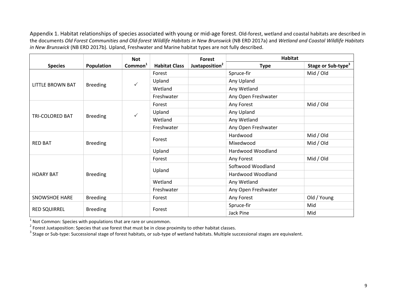Appendix 1. Habitat relationships of species associated with young or mid-age forest. Old-forest, wetland and coastal habitats are described in the documents *Old Forest Communities and Old-forest Wildlife Habitats in New Brunswick* (NB ERD 2017a) and *Wetland and Coastal Wildlife Habitats in New Brunswick* (NB ERD 2017b)*.* Upland, Freshwater and Marine habitat types are not fully described.

<span id="page-10-0"></span>

|                      |                   | <b>Not</b>          |                      | <b>Forest</b>              | <b>Habitat</b>      |                                |
|----------------------|-------------------|---------------------|----------------------|----------------------------|---------------------|--------------------------------|
| <b>Species</b>       | <b>Population</b> | Common <sup>1</sup> | <b>Habitat Class</b> | Juxtaposition <sup>2</sup> | <b>Type</b>         | Stage or Sub-type <sup>3</sup> |
|                      |                   |                     | Forest               |                            | Spruce-fir          | Mid / Old                      |
|                      |                   | ✓                   | Upland               |                            | Any Upland          |                                |
| LITTLE BROWN BAT     | <b>Breeding</b>   |                     | Wetland              |                            | Any Wetland         |                                |
|                      |                   |                     | Freshwater           |                            | Any Open Freshwater |                                |
|                      |                   |                     | Forest               |                            | Any Forest          | Mid / Old                      |
|                      |                   | ✓                   | Upland               |                            | Any Upland          |                                |
| TRI-COLORED BAT      | <b>Breeding</b>   |                     | Wetland              |                            | Any Wetland         |                                |
|                      |                   |                     | Freshwater           |                            | Any Open Freshwater |                                |
|                      |                   |                     | Forest               |                            | Hardwood            | Mid / Old                      |
| <b>RED BAT</b>       | <b>Breeding</b>   |                     |                      |                            | Mixedwood           | Mid / Old                      |
|                      |                   |                     | Upland               |                            | Hardwood Woodland   |                                |
|                      |                   |                     | Forest               |                            | Any Forest          | Mid / Old                      |
|                      |                   |                     |                      |                            | Softwood Woodland   |                                |
| <b>HOARY BAT</b>     | <b>Breeding</b>   |                     | Upland               |                            | Hardwood Woodland   |                                |
|                      |                   |                     | Wetland              |                            | Any Wetland         |                                |
|                      |                   |                     | Freshwater           |                            | Any Open Freshwater |                                |
| <b>SNOWSHOE HARE</b> | <b>Breeding</b>   |                     | Forest               |                            | Any Forest          | Old / Young                    |
|                      |                   |                     |                      |                            | Spruce-fir          | Mid                            |
| <b>RED SQUIRREL</b>  | <b>Breeding</b>   |                     | Forest               |                            | Jack Pine           | Mid                            |

 $<sup>1</sup>$  Not Common: Species with populations that are rare or uncommon.</sup>

 $2$  Forest Juxtaposition: Species that use forest that must be in close proximity to other habitat classes.

 $^3$  Stage or Sub-type: Successional stage of forest habitats, or sub-type of wetland habitats. Multiple successional stages are equivalent.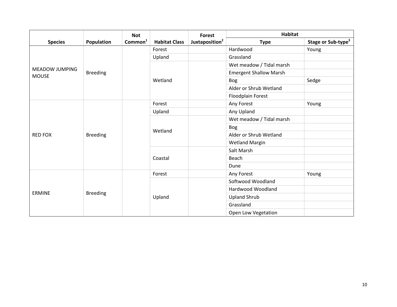|                                       |                 | <b>Not</b>          |                      | <b>Forest</b>              | Habitat                       |                                |
|---------------------------------------|-----------------|---------------------|----------------------|----------------------------|-------------------------------|--------------------------------|
| <b>Species</b>                        | Population      | Common <sup>1</sup> | <b>Habitat Class</b> | Juxtaposition <sup>2</sup> | <b>Type</b>                   | Stage or Sub-type <sup>3</sup> |
|                                       |                 |                     | Forest               |                            | Hardwood                      | Young                          |
|                                       |                 |                     | Upland               |                            | Grassland                     |                                |
|                                       |                 |                     |                      |                            | Wet meadow / Tidal marsh      |                                |
| <b>MEADOW JUMPING</b><br><b>MOUSE</b> | <b>Breeding</b> |                     |                      |                            | <b>Emergent Shallow Marsh</b> |                                |
|                                       |                 |                     | Wetland              |                            | <b>Bog</b>                    | Sedge                          |
|                                       |                 |                     |                      |                            | Alder or Shrub Wetland        |                                |
|                                       |                 |                     |                      |                            | Floodplain Forest             |                                |
|                                       |                 |                     | Forest               |                            | Any Forest                    | Young                          |
|                                       |                 |                     | Upland               |                            | Any Upland                    |                                |
|                                       |                 |                     |                      |                            | Wet meadow / Tidal marsh      |                                |
|                                       |                 |                     |                      |                            | <b>Bog</b>                    |                                |
| <b>RED FOX</b>                        | <b>Breeding</b> |                     | Wetland              |                            | Alder or Shrub Wetland        |                                |
|                                       |                 |                     |                      |                            | <b>Wetland Margin</b>         |                                |
|                                       |                 |                     |                      |                            | Salt Marsh                    |                                |
|                                       |                 |                     | Coastal              |                            | Beach                         |                                |
|                                       |                 |                     |                      |                            | Dune                          |                                |
|                                       |                 |                     | Forest               |                            | Any Forest                    | Young                          |
|                                       |                 |                     |                      |                            | Softwood Woodland             |                                |
|                                       |                 |                     |                      |                            | Hardwood Woodland             |                                |
| <b>ERMINE</b>                         | <b>Breeding</b> |                     | Upland               |                            | <b>Upland Shrub</b>           |                                |
|                                       |                 |                     |                      |                            | Grassland                     |                                |
|                                       |                 |                     |                      | Open Low Vegetation        |                               |                                |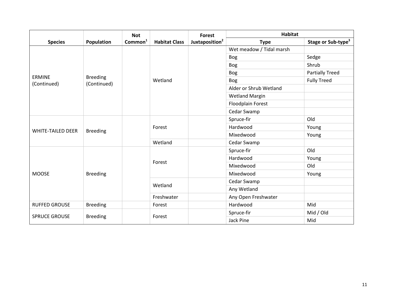|                              |                                | <b>Not</b>          |                      | <b>Forest</b>              | <b>Habitat</b>           |                                |
|------------------------------|--------------------------------|---------------------|----------------------|----------------------------|--------------------------|--------------------------------|
| <b>Species</b>               | Population                     | Common <sup>1</sup> | <b>Habitat Class</b> | Juxtaposition <sup>2</sup> | <b>Type</b>              | Stage or Sub-type <sup>3</sup> |
|                              |                                |                     |                      |                            | Wet meadow / Tidal marsh |                                |
|                              |                                |                     |                      |                            | <b>Bog</b>               | Sedge                          |
|                              |                                |                     |                      |                            | <b>Bog</b>               | Shrub                          |
|                              |                                |                     |                      |                            | Bog                      | <b>Partially Treed</b>         |
| <b>ERMINE</b><br>(Continued) | <b>Breeding</b><br>(Continued) |                     | Wetland              |                            | <b>Bog</b>               | <b>Fully Treed</b>             |
|                              |                                |                     |                      |                            | Alder or Shrub Wetland   |                                |
|                              |                                |                     |                      |                            | <b>Wetland Margin</b>    |                                |
|                              |                                |                     |                      |                            | Floodplain Forest        |                                |
|                              |                                |                     |                      |                            | Cedar Swamp              |                                |
|                              | <b>Breeding</b>                | Forest<br>Wetland   |                      | Spruce-fir                 | Old                      |                                |
| <b>WHITE-TAILED DEER</b>     |                                |                     |                      |                            | Hardwood                 | Young                          |
|                              |                                |                     |                      |                            | Mixedwood                | Young                          |
|                              |                                |                     |                      |                            | Cedar Swamp              |                                |
|                              |                                |                     | Forest               |                            | Spruce-fir               | Old                            |
|                              |                                |                     |                      |                            | Hardwood                 | Young                          |
|                              |                                |                     |                      |                            | Mixedwood                | Old                            |
| <b>MOOSE</b>                 | <b>Breeding</b>                |                     |                      |                            | Mixedwood                | Young                          |
|                              |                                |                     | Wetland              |                            | Cedar Swamp              |                                |
|                              |                                |                     |                      |                            | Any Wetland              |                                |
|                              |                                |                     | Freshwater           |                            | Any Open Freshwater      |                                |
| <b>RUFFED GROUSE</b>         | <b>Breeding</b>                |                     | Forest               |                            | Hardwood                 | Mid                            |
| <b>SPRUCE GROUSE</b>         |                                |                     |                      |                            | Spruce-fir               | Mid / Old                      |
|                              | <b>Breeding</b>                |                     | Forest               |                            | Jack Pine                | Mid                            |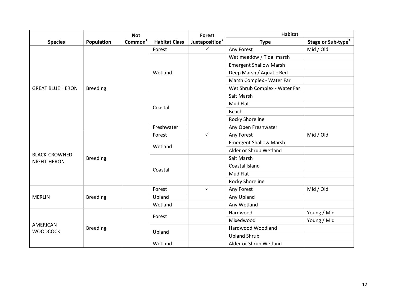|                                     |                   | <b>Not</b>          |                      | <b>Forest</b>              | <b>Habitat</b>                |                                |
|-------------------------------------|-------------------|---------------------|----------------------|----------------------------|-------------------------------|--------------------------------|
| <b>Species</b>                      | <b>Population</b> | Common <sup>1</sup> | <b>Habitat Class</b> | Juxtaposition <sup>2</sup> | <b>Type</b>                   | Stage or Sub-type <sup>3</sup> |
|                                     |                   |                     | Forest               | $\checkmark$               | Any Forest                    | Mid / Old                      |
|                                     |                   |                     |                      |                            | Wet meadow / Tidal marsh      |                                |
|                                     |                   |                     |                      |                            | <b>Emergent Shallow Marsh</b> |                                |
|                                     |                   |                     | Wetland              |                            | Deep Marsh / Aquatic Bed      |                                |
|                                     |                   |                     |                      |                            | Marsh Complex - Water Far     |                                |
| <b>GREAT BLUE HERON</b>             | <b>Breeding</b>   |                     |                      |                            | Wet Shrub Complex - Water Far |                                |
|                                     |                   |                     |                      |                            | Salt Marsh                    |                                |
|                                     |                   |                     |                      |                            | Mud Flat                      |                                |
|                                     |                   |                     | Coastal              |                            | Beach                         |                                |
|                                     |                   |                     |                      |                            | <b>Rocky Shoreline</b>        |                                |
|                                     |                   |                     | Freshwater           |                            | Any Open Freshwater           |                                |
|                                     | <b>Breeding</b>   |                     | Forest               | $\checkmark$               | Any Forest                    | Mid / Old                      |
|                                     |                   |                     | Wetland<br>Coastal   |                            | <b>Emergent Shallow Marsh</b> |                                |
|                                     |                   |                     |                      |                            | Alder or Shrub Wetland        |                                |
| <b>BLACK-CROWNED</b><br>NIGHT-HERON |                   |                     |                      |                            | Salt Marsh                    |                                |
|                                     |                   |                     |                      |                            | Coastal Island                |                                |
|                                     |                   |                     |                      |                            | Mud Flat                      |                                |
|                                     |                   |                     |                      |                            | <b>Rocky Shoreline</b>        |                                |
|                                     |                   |                     | Forest               | $\checkmark$               | Any Forest                    | Mid / Old                      |
| <b>MERLIN</b>                       | <b>Breeding</b>   |                     | Upland               |                            | Any Upland                    |                                |
|                                     |                   |                     | Wetland              |                            | Any Wetland                   |                                |
|                                     |                   |                     | Forest               |                            | Hardwood                      | Young / Mid                    |
|                                     |                   |                     |                      |                            | Mixedwood                     | Young / Mid                    |
| AMERICAN<br><b>WOODCOCK</b>         | <b>Breeding</b>   |                     |                      |                            | Hardwood Woodland             |                                |
|                                     |                   |                     | Upland               |                            | <b>Upland Shrub</b>           |                                |
|                                     |                   | Wetland             |                      |                            | Alder or Shrub Wetland        |                                |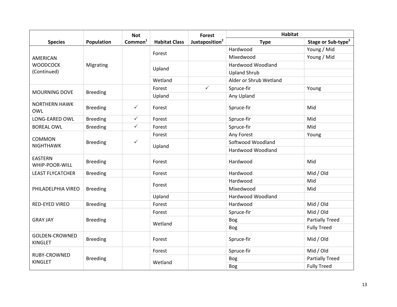|                                         |                 | <b>Not</b>          |                      | <b>Forest</b>              | <b>Habitat</b>         |                                |
|-----------------------------------------|-----------------|---------------------|----------------------|----------------------------|------------------------|--------------------------------|
| <b>Species</b>                          | Population      | Common <sup>1</sup> | <b>Habitat Class</b> | Juxtaposition <sup>2</sup> | <b>Type</b>            | Stage or Sub-type <sup>3</sup> |
|                                         |                 |                     | Forest               |                            | Hardwood               | Young / Mid                    |
| <b>AMERICAN</b>                         |                 |                     |                      |                            | Mixedwood              | Young / Mid                    |
| <b>WOODCOCK</b><br>(Continued)          | Migrating       |                     | Upland               |                            | Hardwood Woodland      |                                |
|                                         |                 |                     |                      |                            | <b>Upland Shrub</b>    |                                |
|                                         |                 |                     | Wetland              |                            | Alder or Shrub Wetland |                                |
| <b>MOURNING DOVE</b>                    |                 |                     | Forest               | $\checkmark$               | Spruce-fir             | Young                          |
|                                         | <b>Breeding</b> |                     | Upland               |                            | Any Upland             |                                |
| <b>NORTHERN HAWK</b><br><b>OWL</b>      | <b>Breeding</b> | $\checkmark$        | Forest               |                            | Spruce-fir             | Mid                            |
| LONG-EARED OWL                          | <b>Breeding</b> | $\checkmark$        | Forest               |                            | Spruce-fir             | Mid                            |
| <b>BOREAL OWL</b>                       | <b>Breeding</b> | $\checkmark$        | Forest               |                            | Spruce-fir             | Mid                            |
|                                         | <b>Breeding</b> | $\checkmark$        | Forest               |                            | Any Forest             | Young                          |
| <b>COMMON</b><br><b>NIGHTHAWK</b>       |                 |                     | Upland               |                            | Softwood Woodland      |                                |
|                                         |                 |                     |                      |                            | Hardwood Woodland      |                                |
| <b>EASTERN</b><br>WHIP-POOR-WILL        | <b>Breeding</b> |                     | Forest               |                            | Hardwood               | Mid                            |
| <b>LEAST FLYCATCHER</b>                 | <b>Breeding</b> |                     | Forest               |                            | Hardwood               | Mid / Old                      |
|                                         | <b>Breeding</b> |                     | Forest               |                            | Hardwood               | Mid                            |
| PHILADELPHIA VIREO                      |                 |                     |                      |                            | Mixedwood              | Mid                            |
|                                         |                 |                     | Upland               |                            | Hardwood Woodland      |                                |
| RED-EYED VIREO                          | <b>Breeding</b> |                     | Forest               |                            | Hardwood               | Mid / Old                      |
|                                         |                 |                     | Forest               |                            | Spruce-fir             | Mid / Old                      |
| <b>GRAY JAY</b>                         | <b>Breeding</b> |                     | Wetland              |                            | <b>Bog</b>             | <b>Partially Treed</b>         |
|                                         |                 |                     |                      |                            | <b>Bog</b>             | <b>Fully Treed</b>             |
| <b>GOLDEN-CROWNED</b><br><b>KINGLET</b> | <b>Breeding</b> |                     | Forest               |                            | Spruce-fir             | Mid / Old                      |
|                                         |                 |                     | Forest               |                            | Spruce-fir             | Mid / Old                      |
| RUBY-CROWNED<br><b>KINGLET</b>          | <b>Breeding</b> |                     | Wetland              |                            | <b>Bog</b>             | <b>Partially Treed</b>         |
|                                         |                 |                     |                      |                            | <b>Bog</b>             | <b>Fully Treed</b>             |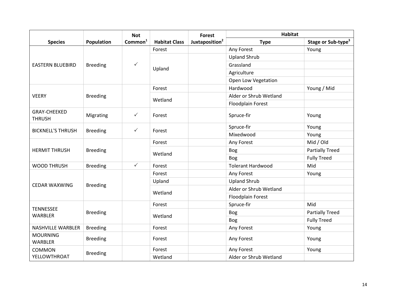|                                      |                 | <b>Not</b>          |                      | <b>Forest</b>              | <b>Habitat</b>           |                                |
|--------------------------------------|-----------------|---------------------|----------------------|----------------------------|--------------------------|--------------------------------|
| <b>Species</b>                       | Population      | Common <sup>1</sup> | <b>Habitat Class</b> | Juxtaposition <sup>2</sup> | <b>Type</b>              | Stage or Sub-type <sup>3</sup> |
|                                      |                 |                     | Forest               |                            | Any Forest               | Young                          |
|                                      |                 |                     |                      |                            | <b>Upland Shrub</b>      |                                |
| <b>EASTERN BLUEBIRD</b>              | <b>Breeding</b> | $\checkmark$        | Upland               |                            | Grassland                |                                |
|                                      |                 |                     |                      |                            | Agriculture              |                                |
|                                      |                 |                     |                      |                            | Open Low Vegetation      |                                |
|                                      |                 |                     | Forest               |                            | Hardwood                 | Young / Mid                    |
| <b>VEERY</b>                         | <b>Breeding</b> |                     | Wetland              |                            | Alder or Shrub Wetland   |                                |
|                                      |                 |                     |                      |                            | Floodplain Forest        |                                |
| <b>GRAY-CHEEKED</b><br><b>THRUSH</b> | Migrating       | $\checkmark$        | Forest               |                            | Spruce-fir               | Young                          |
| <b>BICKNELL'S THRUSH</b>             | <b>Breeding</b> | $\checkmark$        | Forest               |                            | Spruce-fir               | Young                          |
|                                      |                 |                     |                      |                            | Mixedwood                | Young                          |
|                                      | <b>Breeding</b> |                     | Forest               |                            | Any Forest               | Mid / Old                      |
| <b>HERMIT THRUSH</b>                 |                 |                     | Wetland              |                            | Bog                      | <b>Partially Treed</b>         |
|                                      |                 |                     |                      |                            | Bog                      | <b>Fully Treed</b>             |
| <b>WOOD THRUSH</b>                   | <b>Breeding</b> | $\checkmark$        | Forest               |                            | <b>Tolerant Hardwood</b> | Mid                            |
|                                      |                 |                     | Forest               |                            | Any Forest               | Young                          |
| <b>CEDAR WAXWING</b>                 |                 |                     | Upland               |                            | <b>Upland Shrub</b>      |                                |
|                                      | <b>Breeding</b> |                     | Wetland              |                            | Alder or Shrub Wetland   |                                |
|                                      |                 |                     |                      |                            | Floodplain Forest        |                                |
| <b>TENNESSEE</b>                     |                 |                     | Forest               |                            | Spruce-fir               | Mid                            |
| <b>WARBLER</b>                       | <b>Breeding</b> |                     | Wetland              |                            | Bog                      | <b>Partially Treed</b>         |
|                                      |                 |                     |                      |                            | <b>Bog</b>               | <b>Fully Treed</b>             |
| <b>NASHVILLE WARBLER</b>             | <b>Breeding</b> |                     | Forest               |                            | Any Forest               | Young                          |
| <b>MOURNING</b><br>WARBLER           | <b>Breeding</b> |                     | Forest               |                            | Any Forest               | Young                          |
| <b>COMMON</b>                        |                 |                     | Forest               |                            | Any Forest               | Young                          |
| YELLOWTHROAT                         | <b>Breeding</b> |                     | Wetland              |                            | Alder or Shrub Wetland   |                                |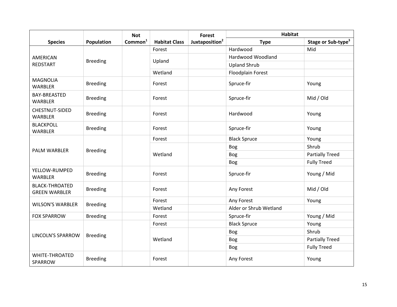|                                               |                 | <b>Not</b>          |                      | <b>Forest</b>              | <b>Habitat</b>           |                                |
|-----------------------------------------------|-----------------|---------------------|----------------------|----------------------------|--------------------------|--------------------------------|
| <b>Species</b>                                | Population      | Common <sup>1</sup> | <b>Habitat Class</b> | Juxtaposition <sup>2</sup> | <b>Type</b>              | Stage or Sub-type <sup>3</sup> |
|                                               |                 |                     | Forest               |                            | Hardwood                 | Mid                            |
| <b>AMERICAN</b>                               | <b>Breeding</b> |                     | Upland               |                            | Hardwood Woodland        |                                |
| REDSTART                                      |                 |                     |                      |                            | <b>Upland Shrub</b>      |                                |
|                                               |                 |                     | Wetland              |                            | <b>Floodplain Forest</b> |                                |
| <b>MAGNOLIA</b><br><b>WARBLER</b>             | <b>Breeding</b> |                     | Forest               |                            | Spruce-fir               | Young                          |
| <b>BAY-BREASTED</b><br>WARBLER                | <b>Breeding</b> |                     | Forest               |                            | Spruce-fir               | Mid / Old                      |
| CHESTNUT-SIDED<br><b>WARBLER</b>              | <b>Breeding</b> |                     | Forest               |                            | Hardwood                 | Young                          |
| <b>BLACKPOLL</b><br><b>WARBLER</b>            | <b>Breeding</b> |                     | Forest               |                            | Spruce-fir               | Young                          |
|                                               | <b>Breeding</b> |                     | Forest               |                            | <b>Black Spruce</b>      | Young                          |
| <b>PALM WARBLER</b>                           |                 |                     | Wetland              |                            | <b>Bog</b>               | Shrub                          |
|                                               |                 |                     |                      |                            | <b>Bog</b>               | <b>Partially Treed</b>         |
|                                               |                 |                     |                      |                            | <b>Bog</b>               | <b>Fully Treed</b>             |
| YELLOW-RUMPED<br><b>WARBLER</b>               | <b>Breeding</b> |                     | Forest               |                            | Spruce-fir               | Young / Mid                    |
| <b>BLACK-THROATED</b><br><b>GREEN WARBLER</b> | <b>Breeding</b> |                     | Forest               |                            | Any Forest               | Mid / Old                      |
| <b>WILSON'S WARBLER</b>                       |                 |                     | Forest               |                            | Any Forest               | Young                          |
|                                               | <b>Breeding</b> |                     | Wetland              |                            | Alder or Shrub Wetland   |                                |
| <b>FOX SPARROW</b>                            | <b>Breeding</b> |                     | Forest               |                            | Spruce-fir               | Young / Mid                    |
|                                               |                 |                     | Forest               |                            | <b>Black Spruce</b>      | Young                          |
| <b>LINCOLN'S SPARROW</b>                      | <b>Breeding</b> |                     |                      |                            | <b>Bog</b>               | Shrub                          |
|                                               |                 |                     | Wetland              |                            | <b>Bog</b>               | <b>Partially Treed</b>         |
|                                               |                 |                     |                      |                            | <b>Bog</b>               | <b>Fully Treed</b>             |
| <b>WHITE-THROATED</b><br>SPARROW              | <b>Breeding</b> |                     | Forest               |                            | Any Forest               | Young                          |